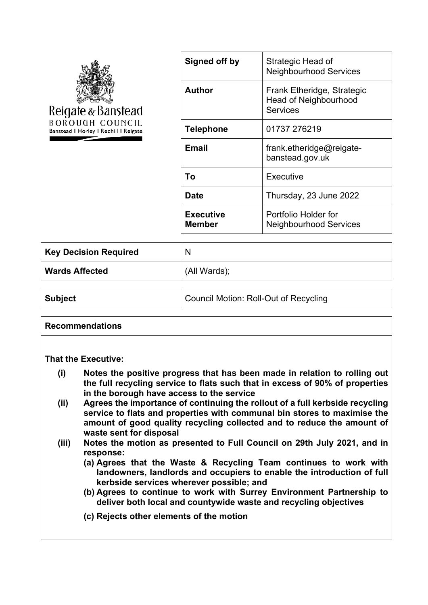

| Signed off by              | Strategic Head of<br><b>Neighbourhood Services</b>                            |
|----------------------------|-------------------------------------------------------------------------------|
| <b>Author</b>              | Frank Etheridge, Strategic<br><b>Head of Neighbourhood</b><br><b>Services</b> |
| <b>Telephone</b>           | 01737 276219                                                                  |
| Email                      | frank.etheridge@reigate-<br>banstead.gov.uk                                   |
| Т٥                         | Executive                                                                     |
| Date                       | Thursday, 23 June 2022                                                        |
| <b>Executive</b><br>Member | Portfolio Holder for<br><b>Neighbourhood Services</b>                         |

| <b>Key Decision Required</b> | N            |
|------------------------------|--------------|
| <b>Wards Affected</b>        | (All Wards); |

| <b>Subject</b> | Council Motion: Roll-Out of Recycling |
|----------------|---------------------------------------|
|----------------|---------------------------------------|

#### **Recommendations**

#### **That the Executive:**

- **(i) Notes the positive progress that has been made in relation to rolling out the full recycling service to flats such that in excess of 90% of properties in the borough have access to the service**
- **(ii) Agrees the importance of continuing the rollout of a full kerbside recycling service to flats and properties with communal bin stores to maximise the amount of good quality recycling collected and to reduce the amount of waste sent for disposal**
- **(iii) Notes the motion as presented to Full Council on 29th July 2021, and in response:**
	- **(a) Agrees that the Waste & Recycling Team continues to work with landowners, landlords and occupiers to enable the introduction of full kerbside services wherever possible; and**
	- **(b) Agrees to continue to work with Surrey Environment Partnership to deliver both local and countywide waste and recycling objectives**
	- **(c) Rejects other elements of the motion**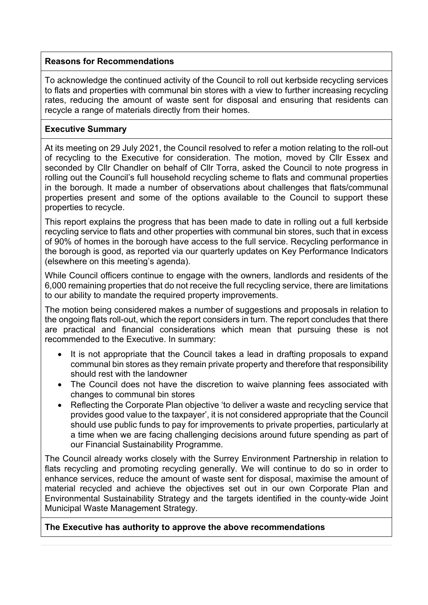# **Reasons for Recommendations**

To acknowledge the continued activity of the Council to roll out kerbside recycling services to flats and properties with communal bin stores with a view to further increasing recycling rates, reducing the amount of waste sent for disposal and ensuring that residents can recycle a range of materials directly from their homes.

## **Executive Summary**

At its meeting on 29 July 2021, the Council resolved to refer a motion relating to the roll-out of recycling to the Executive for consideration. The motion, moved by Cllr Essex and seconded by Cllr Chandler on behalf of Cllr Torra, asked the Council to note progress in rolling out the Council's full household recycling scheme to flats and communal properties in the borough. It made a number of observations about challenges that flats/communal properties present and some of the options available to the Council to support these properties to recycle.

This report explains the progress that has been made to date in rolling out a full kerbside recycling service to flats and other properties with communal bin stores, such that in excess of 90% of homes in the borough have access to the full service. Recycling performance in the borough is good, as reported via our quarterly updates on Key Performance Indicators (elsewhere on this meeting's agenda).

While Council officers continue to engage with the owners, landlords and residents of the 6,000 remaining properties that do not receive the full recycling service, there are limitations to our ability to mandate the required property improvements.

The motion being considered makes a number of suggestions and proposals in relation to the ongoing flats roll-out, which the report considers in turn. The report concludes that there are practical and financial considerations which mean that pursuing these is not recommended to the Executive. In summary:

- It is not appropriate that the Council takes a lead in drafting proposals to expand communal bin stores as they remain private property and therefore that responsibility should rest with the landowner
- The Council does not have the discretion to waive planning fees associated with changes to communal bin stores
- Reflecting the Corporate Plan objective 'to deliver a waste and recycling service that provides good value to the taxpayer', it is not considered appropriate that the Council should use public funds to pay for improvements to private properties, particularly at a time when we are facing challenging decisions around future spending as part of our Financial Sustainability Programme.

The Council already works closely with the Surrey Environment Partnership in relation to flats recycling and promoting recycling generally. We will continue to do so in order to enhance services, reduce the amount of waste sent for disposal, maximise the amount of material recycled and achieve the objectives set out in our own Corporate Plan and Environmental Sustainability Strategy and the targets identified in the county-wide Joint Municipal Waste Management Strategy.

### **The Executive has authority to approve the above recommendations**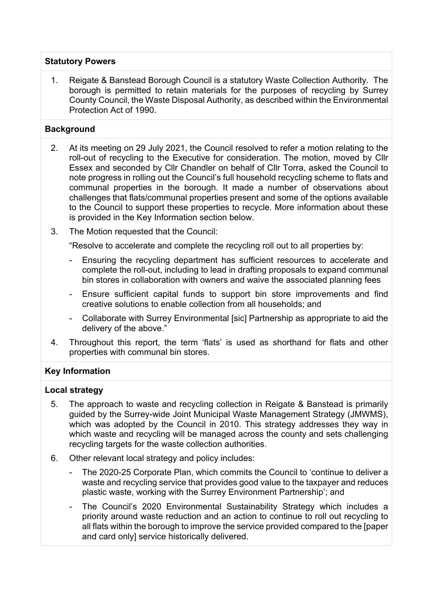## **Statutory Powers**

1. Reigate & Banstead Borough Council is a statutory Waste Collection Authority. The borough is permitted to retain materials for the purposes of recycling by Surrey County Council, the Waste Disposal Authority, as described within the Environmental Protection Act of 1990.

# **Background**

- 2. At its meeting on 29 July 2021, the Council resolved to refer a motion relating to the roll-out of recycling to the Executive for consideration. The motion, moved by Cllr Essex and seconded by Cllr Chandler on behalf of Cllr Torra, asked the Council to note progress in rolling out the Council's full household recycling scheme to flats and communal properties in the borough. It made a number of observations about challenges that flats/communal properties present and some of the options available to the Council to support these properties to recycle. More information about these is provided in the Key Information section below.
- 3. The Motion requested that the Council:

"Resolve to accelerate and complete the recycling roll out to all properties by:

- Ensuring the recycling department has sufficient resources to accelerate and complete the roll-out, including to lead in drafting proposals to expand communal bin stores in collaboration with owners and waive the associated planning fees
- Ensure sufficient capital funds to support bin store improvements and find creative solutions to enable collection from all households; and
- Collaborate with Surrey Environmental [sic] Partnership as appropriate to aid the delivery of the above."
- 4. Throughout this report, the term 'flats' is used as shorthand for flats and other properties with communal bin stores.

### **Key Information**

### **Local strategy**

- 5. The approach to waste and recycling collection in Reigate & Banstead is primarily guided by the Surrey-wide Joint Municipal Waste Management Strategy (JMWMS), which was adopted by the Council in 2010. This strategy addresses they way in which waste and recycling will be managed across the county and sets challenging recycling targets for the waste collection authorities.
- 6. Other relevant local strategy and policy includes:
	- The 2020-25 Corporate Plan, which commits the Council to 'continue to deliver a waste and recycling service that provides good value to the taxpayer and reduces plastic waste, working with the Surrey Environment Partnership'; and
	- The Council's 2020 Environmental Sustainability Strategy which includes a priority around waste reduction and an action to continue to roll out recycling to all flats within the borough to improve the service provided compared to the [paper and card only] service historically delivered.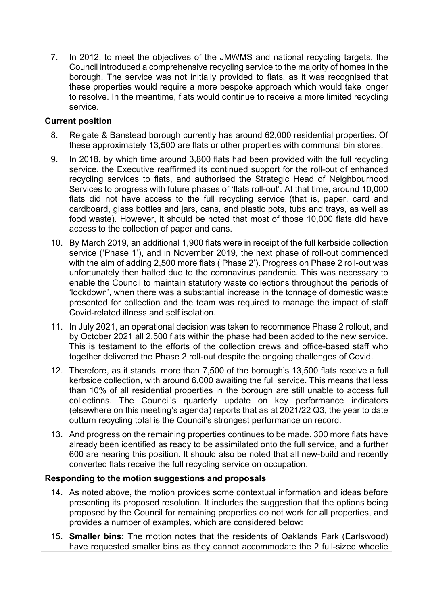7. In 2012, to meet the objectives of the JMWMS and national recycling targets, the Council introduced a comprehensive recycling service to the majority of homes in the borough. The service was not initially provided to flats, as it was recognised that these properties would require a more bespoke approach which would take longer to resolve. In the meantime, flats would continue to receive a more limited recycling service.

## **Current position**

- 8. Reigate & Banstead borough currently has around 62,000 residential properties. Of these approximately 13,500 are flats or other properties with communal bin stores.
- 9. In 2018, by which time around 3,800 flats had been provided with the full recycling service, the Executive reaffirmed its continued support for the roll-out of enhanced recycling services to flats, and authorised the Strategic Head of Neighbourhood Services to progress with future phases of 'flats roll-out'. At that time, around 10,000 flats did not have access to the full recycling service (that is, paper, card and cardboard, glass bottles and jars, cans, and plastic pots, tubs and trays, as well as food waste). However, it should be noted that most of those 10,000 flats did have access to the collection of paper and cans.
- 10. By March 2019, an additional 1,900 flats were in receipt of the full kerbside collection service ('Phase 1'), and in November 2019, the next phase of roll-out commenced with the aim of adding 2,500 more flats ('Phase 2'). Progress on Phase 2 roll-out was unfortunately then halted due to the coronavirus pandemic. This was necessary to enable the Council to maintain statutory waste collections throughout the periods of 'lockdown', when there was a substantial increase in the tonnage of domestic waste presented for collection and the team was required to manage the impact of staff Covid-related illness and self isolation.
- 11. In July 2021, an operational decision was taken to recommence Phase 2 rollout, and by October 2021 all 2,500 flats within the phase had been added to the new service. This is testament to the efforts of the collection crews and office-based staff who together delivered the Phase 2 roll-out despite the ongoing challenges of Covid.
- 12. Therefore, as it stands, more than 7,500 of the borough's 13,500 flats receive a full kerbside collection, with around 6,000 awaiting the full service. This means that less than 10% of all residential properties in the borough are still unable to access full collections. The Council's quarterly update on key performance indicators (elsewhere on this meeting's agenda) reports that as at 2021/22 Q3, the year to date outturn recycling total is the Council's strongest performance on record.
- 13. And progress on the remaining properties continues to be made. 300 more flats have already been identified as ready to be assimilated onto the full service, and a further 600 are nearing this position. It should also be noted that all new-build and recently converted flats receive the full recycling service on occupation.

### **Responding to the motion suggestions and proposals**

- 14. As noted above, the motion provides some contextual information and ideas before presenting its proposed resolution. It includes the suggestion that the options being proposed by the Council for remaining properties do not work for all properties, and provides a number of examples, which are considered below:
- 15. **Smaller bins:** The motion notes that the residents of Oaklands Park (Earlswood) have requested smaller bins as they cannot accommodate the 2 full-sized wheelie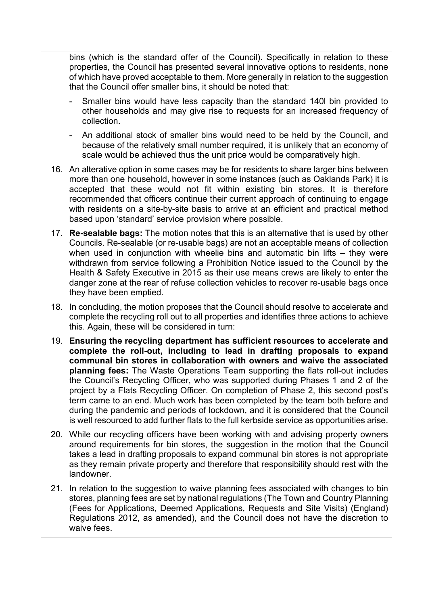bins (which is the standard offer of the Council). Specifically in relation to these properties, the Council has presented several innovative options to residents, none of which have proved acceptable to them. More generally in relation to the suggestion that the Council offer smaller bins, it should be noted that:

- Smaller bins would have less capacity than the standard 140l bin provided to other households and may give rise to requests for an increased frequency of collection.
- An additional stock of smaller bins would need to be held by the Council, and because of the relatively small number required, it is unlikely that an economy of scale would be achieved thus the unit price would be comparatively high.
- 16. An alterative option in some cases may be for residents to share larger bins between more than one household, however in some instances (such as Oaklands Park) it is accepted that these would not fit within existing bin stores. It is therefore recommended that officers continue their current approach of continuing to engage with residents on a site-by-site basis to arrive at an efficient and practical method based upon 'standard' service provision where possible.
- 17. **Re-sealable bags:** The motion notes that this is an alternative that is used by other Councils. Re-sealable (or re-usable bags) are not an acceptable means of collection when used in conjunction with wheelie bins and automatic bin lifts – they were withdrawn from service following a Prohibition Notice issued to the Council by the Health & Safety Executive in 2015 as their use means crews are likely to enter the danger zone at the rear of refuse collection vehicles to recover re-usable bags once they have been emptied.
- 18. In concluding, the motion proposes that the Council should resolve to accelerate and complete the recycling roll out to all properties and identifies three actions to achieve this. Again, these will be considered in turn:
- 19. **Ensuring the recycling department has sufficient resources to accelerate and complete the roll-out, including to lead in drafting proposals to expand communal bin stores in collaboration with owners and waive the associated planning fees:** The Waste Operations Team supporting the flats roll-out includes the Council's Recycling Officer, who was supported during Phases 1 and 2 of the project by a Flats Recycling Officer. On completion of Phase 2, this second post's term came to an end. Much work has been completed by the team both before and during the pandemic and periods of lockdown, and it is considered that the Council is well resourced to add further flats to the full kerbside service as opportunities arise.
- 20. While our recycling officers have been working with and advising property owners around requirements for bin stores, the suggestion in the motion that the Council takes a lead in drafting proposals to expand communal bin stores is not appropriate as they remain private property and therefore that responsibility should rest with the landowner.
- 21. In relation to the suggestion to waive planning fees associated with changes to bin stores, planning fees are set by national regulations (The Town and Country Planning (Fees for Applications, Deemed Applications, Requests and Site Visits) (England) Regulations 2012, as amended), and the Council does not have the discretion to waive fees.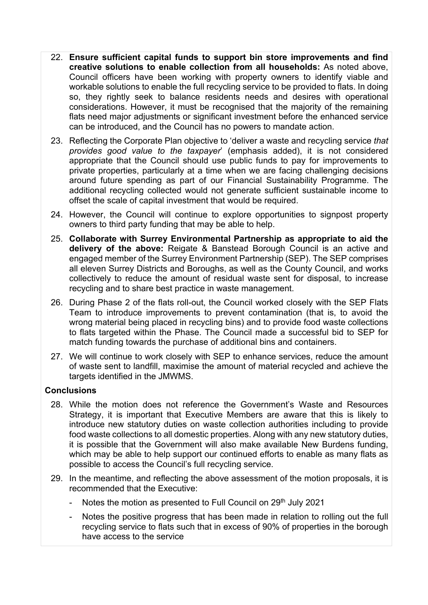- 22. **Ensure sufficient capital funds to support bin store improvements and find creative solutions to enable collection from all households:** As noted above, Council officers have been working with property owners to identify viable and workable solutions to enable the full recycling service to be provided to flats. In doing so, they rightly seek to balance residents needs and desires with operational considerations. However, it must be recognised that the majority of the remaining flats need major adjustments or significant investment before the enhanced service can be introduced, and the Council has no powers to mandate action.
- 23. Reflecting the Corporate Plan objective to 'deliver a waste and recycling service *that provides good value to the taxpayer*' (emphasis added), it is not considered appropriate that the Council should use public funds to pay for improvements to private properties, particularly at a time when we are facing challenging decisions around future spending as part of our Financial Sustainability Programme. The additional recycling collected would not generate sufficient sustainable income to offset the scale of capital investment that would be required.
- 24. However, the Council will continue to explore opportunities to signpost property owners to third party funding that may be able to help.
- 25. **Collaborate with Surrey Environmental Partnership as appropriate to aid the delivery of the above:** Reigate & Banstead Borough Council is an active and engaged member of the Surrey Environment Partnership (SEP). The SEP comprises all eleven Surrey Districts and Boroughs, as well as the County Council, and works collectively to reduce the amount of residual waste sent for disposal, to increase recycling and to share best practice in waste management.
- 26. During Phase 2 of the flats roll-out, the Council worked closely with the SEP Flats Team to introduce improvements to prevent contamination (that is, to avoid the wrong material being placed in recycling bins) and to provide food waste collections to flats targeted within the Phase. The Council made a successful bid to SEP for match funding towards the purchase of additional bins and containers.
- 27. We will continue to work closely with SEP to enhance services, reduce the amount of waste sent to landfill, maximise the amount of material recycled and achieve the targets identified in the JMWMS.

### **Conclusions**

- 28. While the motion does not reference the Government's Waste and Resources Strategy, it is important that Executive Members are aware that this is likely to introduce new statutory duties on waste collection authorities including to provide food waste collections to all domestic properties. Along with any new statutory duties, it is possible that the Government will also make available New Burdens funding, which may be able to help support our continued efforts to enable as many flats as possible to access the Council's full recycling service.
- 29. In the meantime, and reflecting the above assessment of the motion proposals, it is recommended that the Executive:
	- Notes the motion as presented to Full Council on 29<sup>th</sup> July 2021
	- Notes the positive progress that has been made in relation to rolling out the full recycling service to flats such that in excess of 90% of properties in the borough have access to the service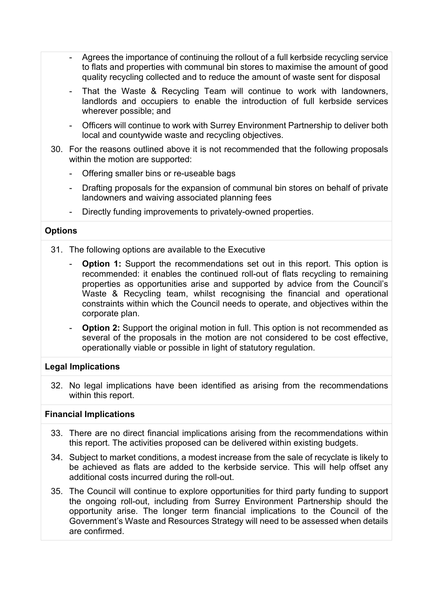- Agrees the importance of continuing the rollout of a full kerbside recycling service to flats and properties with communal bin stores to maximise the amount of good quality recycling collected and to reduce the amount of waste sent for disposal
- That the Waste & Recycling Team will continue to work with landowners, landlords and occupiers to enable the introduction of full kerbside services wherever possible; and
- Officers will continue to work with Surrey Environment Partnership to deliver both local and countywide waste and recycling objectives.
- 30. For the reasons outlined above it is not recommended that the following proposals within the motion are supported:
	- Offering smaller bins or re-useable bags
	- Drafting proposals for the expansion of communal bin stores on behalf of private landowners and waiving associated planning fees
	- Directly funding improvements to privately-owned properties.

## **Options**

- 31. The following options are available to the Executive
	- **Option 1:** Support the recommendations set out in this report. This option is recommended: it enables the continued roll-out of flats recycling to remaining properties as opportunities arise and supported by advice from the Council's Waste & Recycling team, whilst recognising the financial and operational constraints within which the Council needs to operate, and objectives within the corporate plan.
	- **Option 2:** Support the original motion in full. This option is not recommended as several of the proposals in the motion are not considered to be cost effective, operationally viable or possible in light of statutory regulation.

# **Legal Implications**

32. No legal implications have been identified as arising from the recommendations within this report.

### **Financial Implications**

- 33. There are no direct financial implications arising from the recommendations within this report. The activities proposed can be delivered within existing budgets.
- 34. Subject to market conditions, a modest increase from the sale of recyclate is likely to be achieved as flats are added to the kerbside service. This will help offset any additional costs incurred during the roll-out.
- 35. The Council will continue to explore opportunities for third party funding to support the ongoing roll-out, including from Surrey Environment Partnership should the opportunity arise. The longer term financial implications to the Council of the Government's Waste and Resources Strategy will need to be assessed when details are confirmed.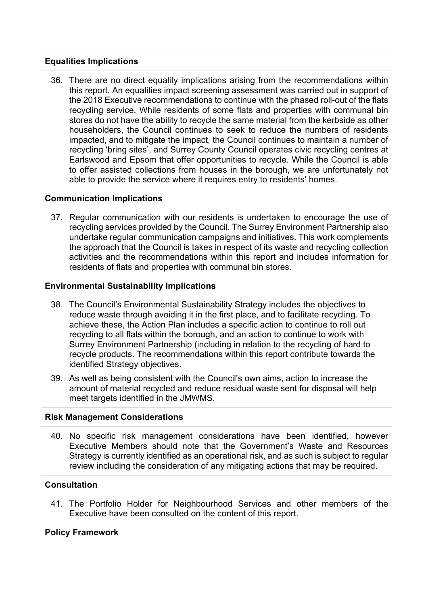## **Equalities Implications**

36. There are no direct equality implications arising from the recommendations within this report. An equalities impact screening assessment was carried out in support of the 2018 Executive recommendations to continue with the phased roll-out of the flats recycling service. While residents of some flats and properties with communal bin stores do not have the ability to recycle the same material from the kerbside as other householders, the Council continues to seek to reduce the numbers of residents impacted, and to mitigate the impact, the Council continues to maintain a number of recycling 'bring sites', and Surrey County Council operates civic recycling centres at Earlswood and Epsom that offer opportunities to recycle. While the Council is able to offer assisted collections from houses in the borough, we are unfortunately not able to provide the service where it requires entry to residents' homes.

## **Communication Implications**

37. Regular communication with our residents is undertaken to encourage the use of recycling services provided by the Council. The Surrey Environment Partnership also undertake regular communication campaigns and initiatives. This work complements the approach that the Council is takes in respect of its waste and recycling collection activities and the recommendations within this report and includes information for residents of flats and properties with communal bin stores.

## **Environmental Sustainability Implications**

- 38. The Council's Environmental Sustainability Strategy includes the objectives to reduce waste through avoiding it in the first place, and to facilitate recycling. To achieve these, the Action Plan includes a specific action to continue to roll out recycling to all flats within the borough, and an action to continue to work with Surrey Environment Partnership (including in relation to the recycling of hard to recycle products. The recommendations within this report contribute towards the identified Strategy objectives.
- 39. As well as being consistent with the Council's own aims, action to increase the amount of material recycled and reduce residual waste sent for disposal will help meet targets identified in the JMWMS.

### **Risk Management Considerations**

40. No specific risk management considerations have been identified, however Executive Members should note that the Government's Waste and Resources Strategy is currently identified as an operational risk, and as such is subject to regular review including the consideration of any mitigating actions that may be required.

# **Consultation**

41. The Portfolio Holder for Neighbourhood Services and other members of the Executive have been consulted on the content of this report.

# **Policy Framework**